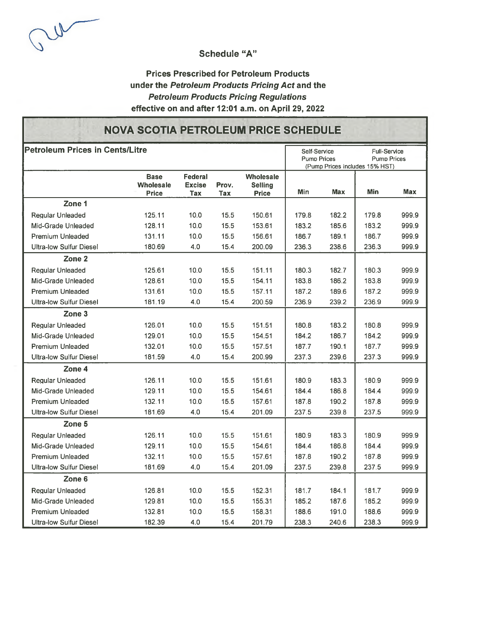$W$ 

#### **Schedule "A"**

# Prices Prescribed for Petroleum Products under the *Petroleum Products Pricing Act* and the *Petroleum Products Pricing Regulations* effective on and after 12:01 a.m. on April 29, 2022

# **NOVA SCOTIA PETROLEUM PRICE SCHEDULE**

| <b>Petroleum Prices in Cents/Litre</b> |                          |                          |       |                             |                    | Self-Service | <b>Full-Service</b>            |            |
|----------------------------------------|--------------------------|--------------------------|-------|-----------------------------|--------------------|--------------|--------------------------------|------------|
|                                        |                          |                          |       |                             | <b>Pump Prices</b> |              | <b>Pump Prices</b>             |            |
|                                        |                          |                          |       |                             |                    |              | (Pump Prices Includes 15% HST) |            |
|                                        | <b>Base</b><br>Wholesale | Federal<br><b>Excise</b> | Prov. | Wholesale<br><b>Selling</b> |                    |              |                                |            |
|                                        | <b>Price</b>             | Tax                      | Tax   | <b>Price</b>                | Min                | Max          | Min                            | <b>Max</b> |
| Zone 1                                 |                          |                          |       |                             |                    |              |                                |            |
| <b>Regular Unleaded</b>                | 125.11                   | 10.0                     | 15.5  | 150.61                      | 179.8              | 182.2        | 179.8                          | 999.9      |
| Mid-Grade Unleaded                     | 128.11                   | 10.0                     | 15.5  | 153.61                      | 183.2              | 185.6        | 183.2                          | 999.9      |
| <b>Premium Unleaded</b>                | 131.11                   | 10.0                     | 15.5  | 156.61                      | 186.7              | 189.1        | 186.7                          | 999.9      |
| <b>Ultra-low Sulfur Diesel</b>         | 180.69                   | 4.0                      | 15.4  | 200.09                      | 236.3              | 238.6        | 236.3                          | 999.9      |
| Zone <sub>2</sub>                      |                          |                          |       |                             |                    |              |                                |            |
| Regular Unleaded                       | 125.61                   | 10.0                     | 15.5  | 151.11                      | 180.3              | 182.7        | 180.3                          | 999.9      |
| Mid-Grade Unleaded                     | 128.61                   | 10.0                     | 15.5  | 154.11                      | 183.8              | 186.2        | 183.8                          | 999.9      |
| <b>Premium Unleaded</b>                | 131.61                   | 10.0                     | 15.5  | 157.11                      | 187.2              | 189.6        | 187.2                          | 999.9      |
| <b>Ultra-low Sulfur Diesel</b>         | 181.19                   | 4.0                      | 15.4  | 200.59                      | 236.9              | 239.2        | 236.9                          | 999.9      |
| Zone 3                                 |                          |                          |       |                             |                    |              |                                |            |
| Regular Unleaded                       | 126.01                   | 10.0                     | 15.5  | 151.51                      | 180.8              | 183.2        | 180.8                          | 999.9      |
| Mid-Grade Unleaded                     | 129.01                   | 10.0                     | 15.5  | 154.51                      | 184.2              | 186.7        | 184.2                          | 999.9      |
| <b>Premium Unleaded</b>                | 132.01                   | 10.0                     | 15.5  | 157.51                      | 187.7              | 190.1        | 187.7                          | 999.9      |
| <b>Ultra-low Sulfur Diesel</b>         | 181.59                   | 4.0                      | 15.4  | 200.99                      | 237.3              | 239.6        | 237.3                          | 999.9      |
| Zone 4                                 |                          |                          |       |                             |                    |              |                                |            |
| <b>Regular Unleaded</b>                | 126.11                   | 10.0                     | 15.5  | 151.61                      | 180.9              | 183.3        | 180.9                          | 999.9      |
| Mid-Grade Unleaded                     | 129.11                   | 10.0                     | 15.5  | 154.61                      | 184.4              | 186.8        | 184.4                          | 999.9      |
| Premium Unleaded                       | 132.11                   | 10.0                     | 15.5  | 157.61                      | 187.8              | 190.2        | 187.8                          | 999.9      |
| <b>Ultra-low Sulfur Diesel</b>         | 181.69                   | 4.0                      | 15.4  | 201.09                      | 237.5              | 239.8        | 237.5                          | 999.9      |
| Zone 5                                 |                          |                          |       |                             |                    |              |                                |            |
| Regular Unleaded                       | 126.11                   | 10.0                     | 15.5  | 151.61                      | 180.9              | 183.3        | 180.9                          | 999.9      |
| Mid-Grade Unleaded                     | 129.11                   | 10.0                     | 15.5  | 154.61                      | 184.4              | 186.8        | 184.4                          | 999.9      |
| <b>Premium Unleaded</b>                | 132.11                   | 10.0                     | 15.5  | 157.61                      | 187.8              | 190.2        | 187.8                          | 999.9      |
| <b>Ultra-low Sulfur Diesel</b>         | 181.69                   | 4.0                      | 15.4  | 201.09                      | 237.5              | 239.8        | 237.5                          | 999.9      |
| Zone 6                                 |                          |                          |       |                             |                    |              |                                |            |
| Regular Unleaded                       | 126.81                   | 10.0                     | 15.5  | 152.31                      | 181.7              | 184.1        | 181.7                          | 999.9      |
| Mid-Grade Unleaded                     | 129.81                   | 10.0                     | 15.5  | 155.31                      | 185.2              | 187.6        | 185.2                          | 999.9      |
| <b>Premium Unleaded</b>                | 132.81                   | 10.0                     | 15.5  | 158.31                      | 188.6              | 191.0        | 188.6                          | 999.9      |
| <b>Ultra-low Sulfur Diesel</b>         | 182.39                   | 4.0                      | 15.4  | 201.79                      | 238.3              | 240.6        | 238.3                          | 999.9      |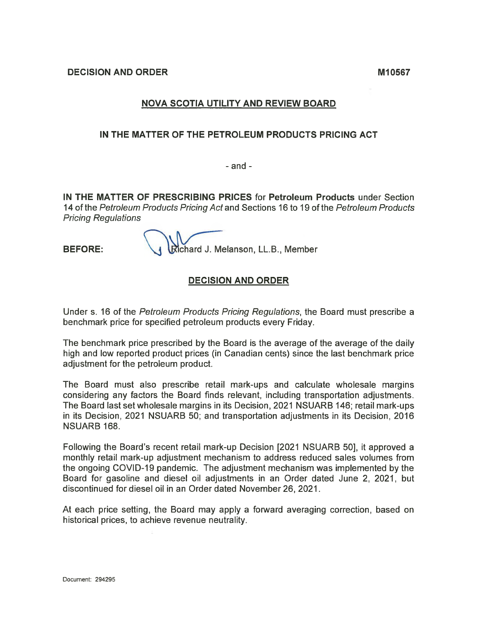**DECISION AND ORDER M10567**

# **NOVA SCOTIA UTILITY AND REVIEW BOARD**

## **IN THE MATTER OF THE PETROLEUM PRODUCTS PRICING ACT**

- and -

**IN THE MATTER OF PRESCRIBING PRICES** for **Petroleum Products** under Section 14 of the *Petroleum Products Pricing Act* and Sections 16 to 19 of the *Petroleum Products Pricing Regulations*

**BEFORE:**

Richard J. Melanson, LL.B., Member

# **DECISION AND ORDER**

Under s. 16 of the *Petroleum Products Pricing Regulations,* the Board must prescribe a benchmark price for specified petroleum products every Friday.

The benchmark price prescribed by the Board is the average of the average of the daily high and low reported product prices (in Canadian cents) since the last benchmark price adjustment for the petroleum product.

The Board must also prescribe retail mark-ups and calculate wholesale margins considering any factors the Board finds relevant, including transportation adjustments. The Board last set wholesale margins in its Decision, 2021 NSUARB 146; retail mark-ups in its Decision, 2021 NSUARB 50; and transportation adjustments in its Decision, 2016 NSUARB 168.

Following the Board's recent retail mark-up Decision [2021 NSUARB 50], it approved a monthly retail mark-up adjustment mechanism to address reduced sales volumes from the ongoing COVID-19 pandemic. The adjustment mechanism was implemented by the Board for gasoline and diesel oil adjustments in an Order dated June 2, 2021, but discontinued for diesel oil in an Order dated November 26, 2021.

At each price setting, the Board may apply a forward averaging correction, based on historical prices, to achieve revenue neutrality.